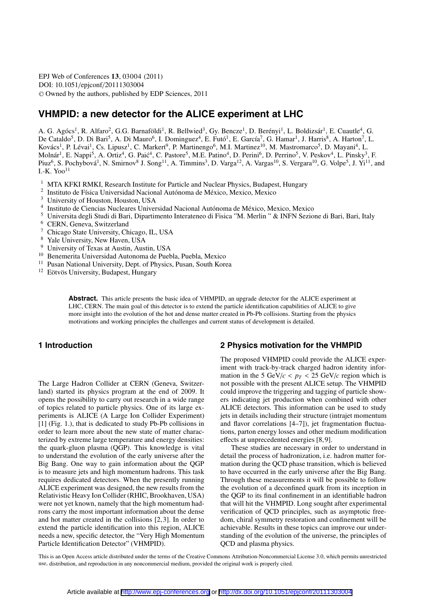EPJ Web of Conferences 13, 03004 (2011) DOI: 10.1051/epjconf/20111303004 <sup>C</sup> Owned by the authors, published by EDP Sciences, 2011

# **VHMPID: a new detector for the ALICE experiment at LHC**

A. G. Agócs<sup>1</sup>, R. Alfaro<sup>2</sup>, G.G. Barnaföldi<sup>1</sup>, R. Bellwied<sup>3</sup>, Gy. Bencze<sup>1</sup>, D. Berényi<sup>1</sup>, L. Boldizsár<sup>1</sup>, E. Cuautle<sup>4</sup>, G. De Cataldo<sup>5</sup>, D. Di Bari<sup>5</sup>, A. Di Mauro<sup>6</sup>, I. Dominguez<sup>4</sup>, E. Futó<sup>1</sup>, E. García<sup>7</sup>, G. Hamar<sup>1</sup>, J. Harris<sup>8</sup>, A. Harton<sup>7</sup>, L. Kovács<sup>1</sup>, P. Lévai<sup>1</sup>, Cs. Lipusz<sup>1</sup>, C. Markert<sup>9</sup>, P. Martinengo<sup>6</sup>, M.I. Martinez<sup>10</sup>, M. Mastromarco<sup>5</sup>, D. Mayani<sup>4</sup>, L. Molnár<sup>1</sup>, E. Nappi<sup>5</sup>, A. Ortiz<sup>4</sup>, G. Paić<sup>4</sup>, C. Pastore<sup>5</sup>, M.E. Patino<sup>4</sup>, D. Perini<sup>6</sup>, D. Perrino<sup>5</sup>, V. Peskov<sup>4</sup>, L. Pinsky<sup>3</sup>, F. Piuz<sup>6</sup>, S. Pochybová<sup>1</sup>, N. Smirnov<sup>8</sup> J. Song<sup>11</sup>, A. Timmins<sup>3</sup>, D. Varga<sup>12</sup>, A. Vargas<sup>10</sup>, S. Vergara<sup>10</sup>, G. Volpe<sup>5</sup>, J. Yi<sup>11</sup>, and I.-K. Yoo $^{11}$ 

- <sup>1</sup> MTA KFKI RMKI, Research Institute for Particle and Nuclear Physics, Budapest, Hungary
- <sup>2</sup> Instituto de Física Universidad Nacional Autónoma de México, Mexico, Mexico
- <sup>3</sup> University of Houston, Houston, USA
- <sup>4</sup> Instituto de Ciencias Nucleares Universidad Nacional Autónoma de México, Mexico, Mexico
- <sup>5</sup> Universita degli Studi di Bari, Dipartimento Interateneo di Fisica "M. Merlin " & INFN Sezione di Bari, Bari, Italy
- <sup>6</sup> CERN, Geneva, Switzerland
- <sup>7</sup> Chicago State University, Chicago, IL, USA
- <sup>8</sup> Yale University, New Haven, USA
- <sup>9</sup> University of Texas at Austin, Austin, USA
- <sup>10</sup> Benemerita Universidad Autonoma de Puebla, Puebla, Mexico
- <sup>11</sup> Pusan National University, Dept. of Physics, Pusan, South Korea
- <sup>12</sup> Eötvös University, Budapest, Hungary

**Abstract.** This article presents the basic idea of VHMPID, an upgrade detector for the ALICE experiment at LHC, CERN. The main goal of this detector is to extend the particle identification capabilities of ALICE to give more insight into the evolution of the hot and dense matter created in Pb-Pb collisions. Starting from the physics motivations and working principles the challenges and current status of development is detailed.

## **1 Introduction**

The Large Hadron Collider at CERN (Geneva, Switzerland) started its physics program at the end of 2009. It opens the possibility to carry out research in a wide range of topics related to particle physics. One of its large experiments is ALICE (A Large Ion Collider Experiment) [1] (Fig. 1.), that is dedicated to study Pb-Pb collisions in order to learn more about the new state of matter characterized by extreme large temperature and energy densities: the quark-gluon plasma (QGP). This knowledge is vital to understand the evolution of the early universe after the Big Bang. One way to gain information about the QGP is to measure jets and high momentum hadrons. This task requires dedicated detectors. When the presently running ALICE experiment was designed, the new results from the Relativistic Heavy Ion Collider (RHIC, Brookhaven, USA) were not yet known, namely that the high momentum hadrons carry the most important information about the dense and hot matter created in the collisions [2,3]. In order to extend the particle identification into this region, ALICE needs a new, specific detector, the "Very High Momentum Particle Identification Detector" (VHMPID).

### **2 Physics motivation for the VHMPID**

The proposed VHMPID could provide the ALICE experiment with track-by-track charged hadron identity information in the 5 GeV/ $c < p_T < 25$  GeV/ $c$  region which is not possible with the present ALICE setup. The VHMPID could improve the triggering and tagging of particle showers indicating jet production when combined with other ALICE detectors. This information can be used to study jets in details including their structure (intrajet momentum and flavor correlations [4–7]), jet fragmentation fluctuations, parton energy losses and other medium modification effects at unprecedented energies [8,9].

These studies are necessary in order to understand in detail the process of hadronization, i.e. hadron matter formation during the QCD phase transition, which is believed to have occurred in the early universe after the Big Bang. Through these measurements it will be possible to follow the evolution of a deconfined quark from its inception in the QGP to its final confinement in an identifiable hadron that will hit the VHMPID. Long sought after experimental verification of QCD principles, such as asymptotic freedom, chiral symmetry restoration and confinement will be achievable. Results in these topics can improve our understanding of the evolution of the universe, the principles of QCD and plasma physics.

This is an Open Access article distributed under the terms of the Creative Commons Attribution-Noncommercial License 3.0, which permits unrestricted use, distribution, and reproduction in any noncommercial medium, provided the original work is properly cited.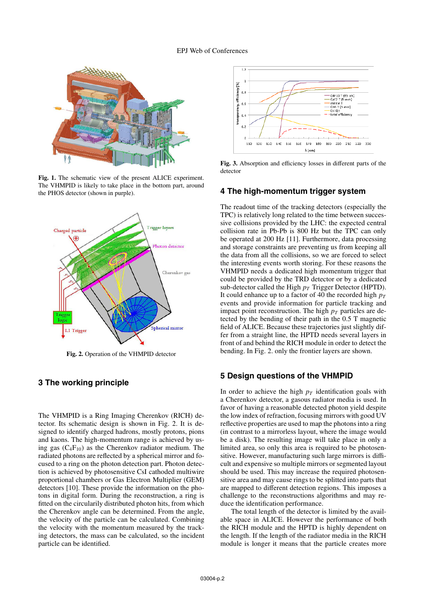

**Fig. 1.** The schematic view of the present ALICE experiment. The VHMPID is likely to take place in the bottom part, around the PHOS detector (shown in purple).



**Fig. 2.** Operation of the VHMPID detector

## **3 The working principle**

The VHMPID is a Ring Imaging Cherenkov (RICH) detector. Its schematic design is shown in Fig. 2. It is designed to identify charged hadrons, mostly protons, pions and kaons. The high-momentum range is achieved by using gas  $(C_4F_{10})$  as the Cherenkov radiator medium. The radiated photons are reflected by a spherical mirror and focused to a ring on the photon detection part. Photon detection is achieved by photosensitive CsI cathoded multiwire proportional chambers or Gas Electron Multiplier (GEM) detectors [10]. These provide the information on the photons in digital form. During the reconstruction, a ring is fitted on the circularily distributed photon hits, from which the Cherenkov angle can be determined. From the angle, the velocity of the particle can be calculated. Combining the velocity with the momentum measured by the tracking detectors, the mass can be calculated, so the incident particle can be identified.



**Fig. 3.** Absorption and efficiency losses in different parts of the detector

### **4 The high-momentum trigger system**

The readout time of the tracking detectors (especially the TPC) is relatively long related to the time between successive collisions provided by the LHC: the expected central collision rate in Pb-Pb is 800 Hz but the TPC can only be operated at 200 Hz [11]. Furthermore, data processing and storage constraints are preventing us from keeping all the data from all the collisions, so we are forced to select the interesting events worth storing. For these reasons the VHMPID needs a dedicated high momentum trigger that could be provided by the TRD detector or by a dedicated sub-detector called the High *p<sup>T</sup>* Trigger Detector (HPTD). It could enhance up to a factor of 40 the recorded high  $p_T$ events and provide information for particle tracking and impact point reconstruction. The high  $p<sub>T</sub>$  particles are detected by the bending of their path in the 0.5 T magnetic field of ALICE. Because these trajectories just slightly differ from a straight line, the HPTD needs several layers in front of and behind the RICH module in order to detect the bending. In Fig. 2. only the frontier layers are shown.

### **5 Design questions of the VHMPID**

In order to achieve the high  $p_T$  identification goals with a Cherenkov detector, a gasous radiator media is used. In favor of having a reasonable detected photon yield despite the low index of refraction, focusing mirrors with good UV reflective properties are used to map the photons into a ring (in contrast to a mirrorless layout, where the image would be a disk). The resulting image will take place in only a limited area, so only this area is required to be photosensitive. However, manufacturing such large mirrors is difficult and expensive so multiple mirrors or segmented layout should be used. This may increase the required photosensitive area and may cause rings to be splitted into parts that are mapped to different detection regions. This imposes a challenge to the reconstructions algorithms and may reduce the identification performance.

The total length of the detector is limited by the available space in ALICE. However the performance of both the RICH module and the HPTD is highly dependent on the length. If the length of the radiator media in the RICH module is longer it means that the particle creates more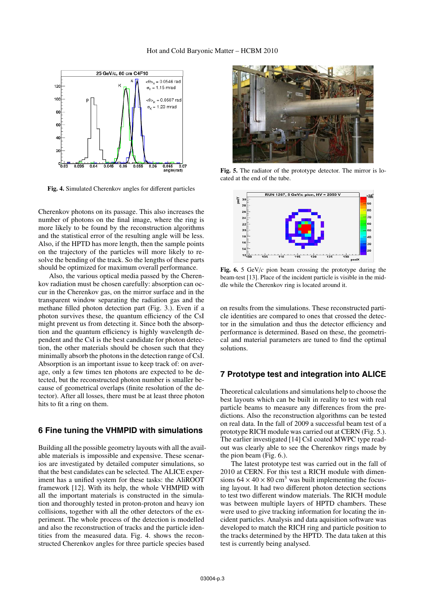

**Fig. 4.** Simulated Cherenkov angles for different particles

Cherenkov photons on its passage. This also increases the number of photons on the final image, where the ring is more likely to be found by the reconstruction algorithms and the statistical error of the resulting angle will be less. Also, if the HPTD has more length, then the sample points on the trajectory of the particles will more likely to resolve the bending of the track. So the lengths of these parts should be optimized for maximum overall performance.

Also, the various optical media passed by the Cherenkov radiation must be chosen carefully: absorption can occur in the Cherenkov gas, on the mirror surface and in the transparent window separating the radiation gas and the methane filled photon detection part (Fig. 3.). Even if a photon survives these, the quantum efficiency of the CsI might prevent us from detecting it. Since both the absorption and the quantum efficiency is highly wavelength dependent and the CsI is the best candidate for photon detection, the other materials should be chosen such that they minimally absorb the photons in the detection range of CsI. Absorption is an important issue to keep track of: on average, only a few times ten photons are expected to be detected, but the reconstructed photon number is smaller because of geometrical overlaps (finite resolution of the detector). After all losses, there must be at least three photon hits to fit a ring on them.

#### **6 Fine tuning the VHMPID with simulations**

Building all the possible geometry layouts with all the available materials is impossible and expensive. These scenarios are investigated by detailed computer simulations, so that the best candidates can be selected. The ALICE experiment has a unified system for these tasks: the AliROOT framework [12]. With its help, the whole VHMPID with all the important materials is constructed in the simulation and thoroughly tested in proton-proton and heavy ion collisions, together with all the other detectors of the experiment. The whole process of the detection is modelled and also the reconstruction of tracks and the particle identities from the measured data. Fig. 4. shows the reconstructed Cherenkov angles for three particle species based



**Fig. 5.** The radiator of the prototype detector. The mirror is located at the end of the tube.



**Fig. 6.** 5 GeV/*c* pion beam crossing the prototype during the beam-test [13]. Place of the incident particle is visible in the middle while the Cherenkov ring is located around it.

on results from the simulations. These reconstructed particle identities are compared to ones that crossed the detector in the simulation and thus the detector efficiency and performance is determined. Based on these, the geometrical and material parameters are tuned to find the optimal solutions.

## **7 Prototype test and integration into ALICE**

Theoretical calculations and simulations help to choose the best layouts which can be built in reality to test with real particle beams to measure any differences from the predictions. Also the reconstruction algorithms can be tested on real data. In the fall of 2009 a successful beam test of a prototype RICH module was carried out at CERN (Fig. 5.). The earlier investigated [14] CsI coated MWPC type readout was clearly able to see the Cherenkov rings made by the pion beam (Fig. 6.).

The latest prototype test was carried out in the fall of 2010 at CERN. For this test a RICH module with dimensions  $64 \times 40 \times 80$  cm<sup>3</sup> was built implementing the focusing layout. It had two different photon detection sections to test two different window materials. The RICH module was between multiple layers of HPTD chambers. These were used to give tracking information for locating the incident particles. Analysis and data aquisition software was developed to match the RICH ring and particle position to the tracks determined by the HPTD. The data taken at this test is currently being analysed.